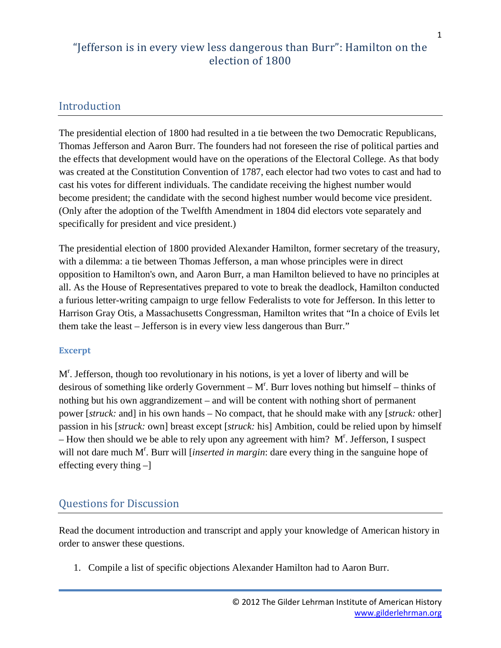### Introduction

The presidential election of 1800 had resulted in a tie between the two Democratic Republicans, Thomas Jefferson and Aaron Burr. The founders had not foreseen the rise of political parties and the effects that development would have on the operations of the Electoral College. As that body was created at the Constitution Convention of 1787, each elector had two votes to cast and had to cast his votes for different individuals. The candidate receiving the highest number would become president; the candidate with the second highest number would become vice president. (Only after the adoption of the Twelfth Amendment in 1804 did electors vote separately and specifically for president and vice president.)

The presidential election of 1800 provided Alexander Hamilton, former secretary of the treasury, with a dilemma: a tie between Thomas Jefferson, a man whose principles were in direct opposition to Hamilton's own, and Aaron Burr, a man Hamilton believed to have no principles at all. As the House of Representatives prepared to vote to break the deadlock, Hamilton conducted a furious letter-writing campaign to urge fellow Federalists to vote for Jefferson. In this letter to Harrison Gray Otis, a Massachusetts Congressman, Hamilton writes that "In a choice of Evils let them take the least – Jefferson is in every view less dangerous than Burr."

#### **Excerpt**

M<sup>r</sup>. Jefferson, though too revolutionary in his notions, is yet a lover of liberty and will be desirous of something like orderly Government  $-M<sup>r</sup>$ . Burr loves nothing but himself  $-$  thinks of nothing but his own aggrandizement – and will be content with nothing short of permanent power [*struck:* and] in his own hands – No compact, that he should make with any [*struck:* other] passion in his [*struck:* own] breast except [*struck:* his] Ambition, could be relied upon by himself  $-$  How then should we be able to rely upon any agreement with him?  $M<sup>r</sup>$ . Jefferson, I suspect will not dare much M<sup>r</sup>. Burr will [*inserted in margin*: dare every thing in the sanguine hope of effecting every thing –]

### Questions for Discussion

Read the document introduction and transcript and apply your knowledge of American history in order to answer these questions.

1. Compile a list of specific objections Alexander Hamilton had to Aaron Burr.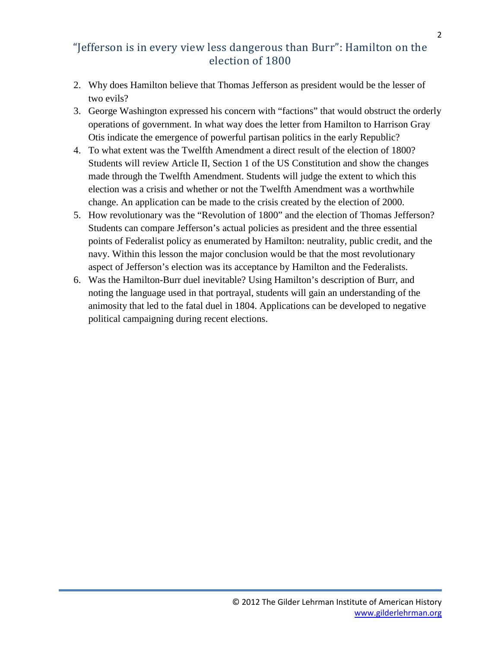- 2. Why does Hamilton believe that Thomas Jefferson as president would be the lesser of two evils?
- 3. George Washington expressed his concern with "factions" that would obstruct the orderly operations of government. In what way does the letter from Hamilton to Harrison Gray Otis indicate the emergence of powerful partisan politics in the early Republic?
- 4. To what extent was the Twelfth Amendment a direct result of the election of 1800? Students will review Article II, Section 1 of the US Constitution and show the changes made through the Twelfth Amendment. Students will judge the extent to which this election was a crisis and whether or not the Twelfth Amendment was a worthwhile change. An application can be made to the crisis created by the election of 2000.
- 5. How revolutionary was the "Revolution of 1800" and the election of Thomas Jefferson? Students can compare Jefferson's actual policies as president and the three essential points of Federalist policy as enumerated by Hamilton: neutrality, public credit, and the navy. Within this lesson the major conclusion would be that the most revolutionary aspect of Jefferson's election was its acceptance by Hamilton and the Federalists.
- 6. Was the Hamilton-Burr duel inevitable? Using Hamilton's description of Burr, and noting the language used in that portrayal, students will gain an understanding of the animosity that led to the fatal duel in 1804. Applications can be developed to negative political campaigning during recent elections.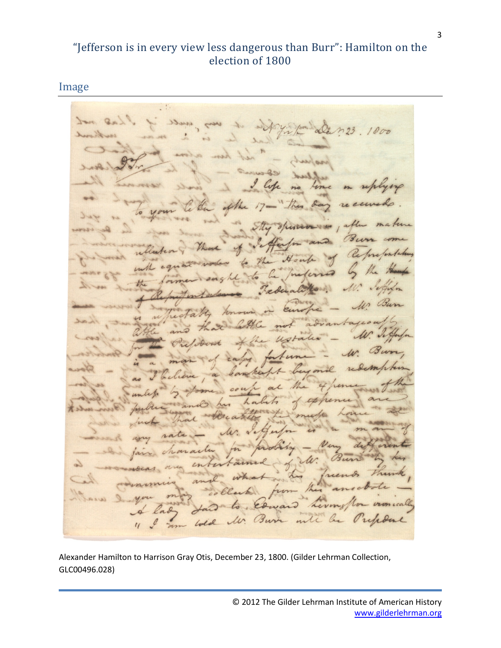Image

 $\ddot{\phantom{a}}$ 1000  $\sqrt{3}u$ Cle  $\mathcal U.$ vionically hour  $U$ 3 $u$  $\alpha$ 

Alexander Hamilton to Harrison Gray Otis, December 23, 1800. (Gilder Lehrman Collection, GLC00496.028)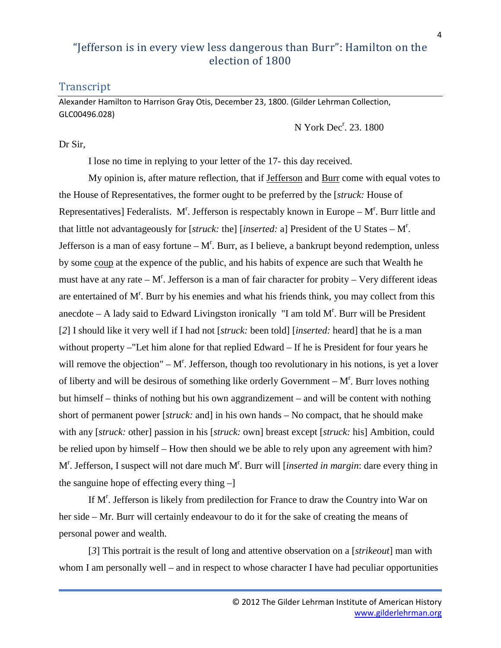### **Transcript**

Alexander Hamilton to Harrison Gray Otis, December 23, 1800. (Gilder Lehrman Collection, GLC00496.028)

N York Dec<sup>r</sup>. 23. 1800

#### Dr Sir,

I lose no time in replying to your letter of the 17- this day received.

My opinion is, after mature reflection, that if Jefferson and Burr come with equal votes to the House of Representatives, the former ought to be preferred by the [*struck:* House of Representatives] Federalists. M<sup>r</sup>. Jefferson is respectably known in Europe  $-M<sup>r</sup>$ . Burr little and that little not advantageously for [*struck:* the] [*inserted:* a] President of the U States – M<sup>r</sup> . Jefferson is a man of easy fortune  $-M<sup>r</sup>$ . Burr, as I believe, a bankrupt beyond redemption, unless by some coup at the expence of the public, and his habits of expence are such that Wealth he must have at any rate  $-M<sup>r</sup>$ . Jefferson is a man of fair character for probity  $-$  Very different ideas are entertained of  $M<sup>r</sup>$ . Burr by his enemies and what his friends think, you may collect from this anecdote  $-$  A lady said to Edward Livingston ironically "I am told  $M<sup>r</sup>$ . Burr will be President [*2*] I should like it very well if I had not [*struck:* been told] [*inserted:* heard] that he is a man without property –"Let him alone for that replied Edward – If he is President for four years he will remove the objection"  $-M<sup>r</sup>$ . Jefferson, though too revolutionary in his notions, is yet a lover of liberty and will be desirous of something like orderly Government  $-M<sup>r</sup>$ . Burr loves nothing but himself – thinks of nothing but his own aggrandizement – and will be content with nothing short of permanent power [*struck:* and] in his own hands – No compact, that he should make with any [*struck:* other] passion in his [*struck:* own] breast except [*struck:* his] Ambition, could be relied upon by himself – How then should we be able to rely upon any agreement with him? M<sup>r</sup>. Jefferson, I suspect will not dare much M<sup>r</sup>. Burr will [*inserted in margin*: dare every thing in the sanguine hope of effecting every thing –]

If M<sup>r</sup>. Jefferson is likely from predilection for France to draw the Country into War on her side – Mr. Burr will certainly endeavour to do it for the sake of creating the means of personal power and wealth.

[*3*] This portrait is the result of long and attentive observation on a [*strikeout*] man with whom I am personally well – and in respect to whose character I have had peculiar opportunities